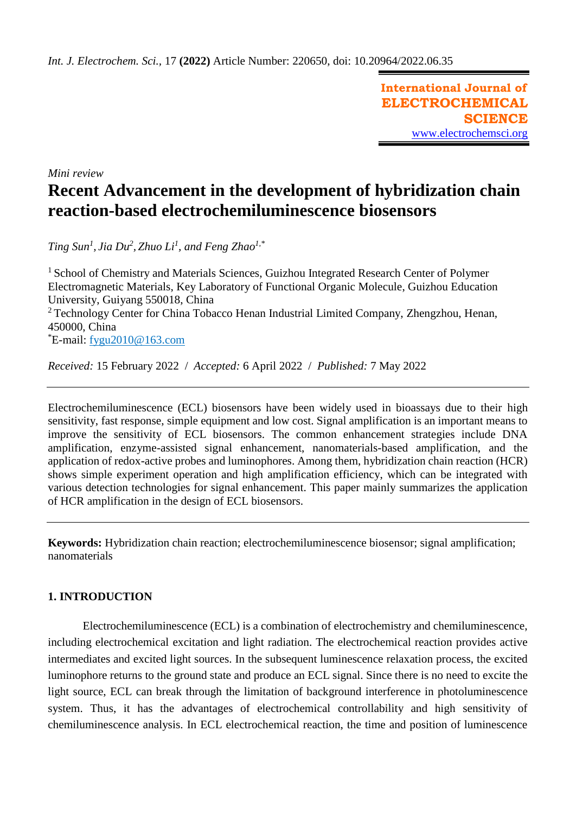**International Journal of ELECTROCHEMICAL SCIENCE** [www.electrochemsci.org](http://www.electrochemsci.org/)

*Mini review*

# **Recent Advancement in the development of hybridization chain reaction-based electrochemiluminescence biosensors**

*Ting Sun<sup>1</sup> , Jia Du<sup>2</sup> , Zhuo Li<sup>1</sup> , and Feng Zhao1,\**

<sup>1</sup> School of Chemistry and Materials Sciences, Guizhou Integrated Research Center of Polymer Electromagnetic Materials, Key Laboratory of Functional Organic Molecule, Guizhou Education University, Guiyang 550018, China <sup>2</sup> Technology Center for China Tobacco Henan Industrial Limited Company, Zhengzhou, Henan, 450000, China  $E$ -mail: [fygu2010@163.com](mailto:fygu2010@163.com)

*Received:* 15 February 2022/ *Accepted:* 6 April 2022 / *Published:* 7 May 2022

Electrochemiluminescence (ECL) biosensors have been widely used in bioassays due to their high sensitivity, fast response, simple equipment and low cost. Signal amplification is an important means to improve the sensitivity of ECL biosensors. The common enhancement strategies include DNA amplification, enzyme-assisted signal enhancement, nanomaterials-based amplification, and the application of redox-active probes and luminophores. Among them, hybridization chain reaction (HCR) shows simple experiment operation and high amplification efficiency, which can be integrated with various detection technologies for signal enhancement. This paper mainly summarizes the application of HCR amplification in the design of ECL biosensors.

**Keywords:** Hybridization chain reaction; electrochemiluminescence biosensor; signal amplification; nanomaterials

## **1. INTRODUCTION**

Electrochemiluminescence (ECL) is a combination of electrochemistry and chemiluminescence, including electrochemical excitation and light radiation. The electrochemical reaction provides active intermediates and excited light sources. In the subsequent luminescence relaxation process, the excited luminophore returns to the ground state and produce an ECL signal. Since there is no need to excite the light source, ECL can break through the limitation of background interference in photoluminescence system. Thus, it has the advantages of electrochemical controllability and high sensitivity of chemiluminescence analysis. In ECL electrochemical reaction, the time and position of luminescence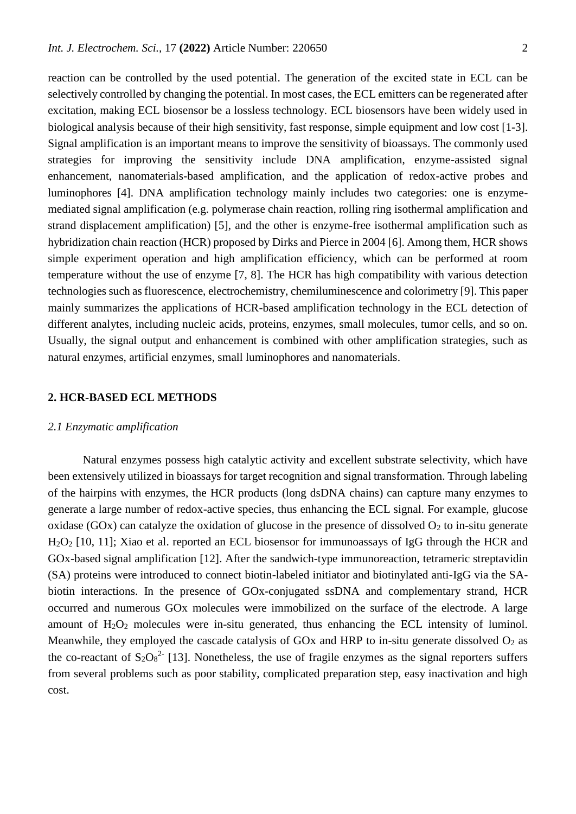reaction can be controlled by the used potential. The generation of the excited state in ECL can be selectively controlled by changing the potential. In most cases, the ECL emitters can be regenerated after excitation, making ECL biosensor be a lossless technology. ECL biosensors have been widely used in biological analysis because of their high sensitivity, fast response, simple equipment and low cost [1-3]. Signal amplification is an important means to improve the sensitivity of bioassays. The commonly used strategies for improving the sensitivity include DNA amplification, enzyme-assisted signal enhancement, nanomaterials-based amplification, and the application of redox-active probes and luminophores [4]. DNA amplification technology mainly includes two categories: one is enzymemediated signal amplification (e.g. polymerase chain reaction, rolling ring isothermal amplification and strand displacement amplification) [5], and the other is enzyme-free isothermal amplification such as hybridization chain reaction (HCR) proposed by Dirks and Pierce in 2004 [6]. Among them, HCR shows simple experiment operation and high amplification efficiency, which can be performed at room temperature without the use of enzyme [7, 8]. The HCR has high compatibility with various detection technologies such as fluorescence, electrochemistry, chemiluminescence and colorimetry [9]. This paper mainly summarizes the applications of HCR-based amplification technology in the ECL detection of different analytes, including nucleic acids, proteins, enzymes, small molecules, tumor cells, and so on. Usually, the signal output and enhancement is combined with other amplification strategies, such as natural enzymes, artificial enzymes, small luminophores and nanomaterials.

## **2. HCR-BASED ECL METHODS**

#### *2.1 Enzymatic amplification*

Natural enzymes possess high catalytic activity and excellent substrate selectivity, which have been extensively utilized in bioassays for target recognition and signal transformation. Through labeling of the hairpins with enzymes, the HCR products (long dsDNA chains) can capture many enzymes to generate a large number of redox-active species, thus enhancing the ECL signal. For example, glucose oxidase (GOx) can catalyze the oxidation of glucose in the presence of dissolved  $O_2$  to in-situ generate H<sub>2</sub>O<sub>2</sub> [10, 11]; Xiao et al. reported an ECL biosensor for immunoassays of IgG through the HCR and GOx-based signal amplification [12]. After the sandwich-type immunoreaction, tetrameric streptavidin (SA) proteins were introduced to connect biotin-labeled initiator and biotinylated anti-IgG via the SAbiotin interactions. In the presence of GOx-conjugated ssDNA and complementary strand, HCR occurred and numerous GOx molecules were immobilized on the surface of the electrode. A large amount of H<sub>2</sub>O<sub>2</sub> molecules were in-situ generated, thus enhancing the ECL intensity of luminol. Meanwhile, they employed the cascade catalysis of GOx and HRP to in-situ generate dissolved  $O_2$  as the co-reactant of  $S_2O_8^2$  [13]. Nonetheless, the use of fragile enzymes as the signal reporters suffers from several problems such as poor stability, complicated preparation step, easy inactivation and high cost.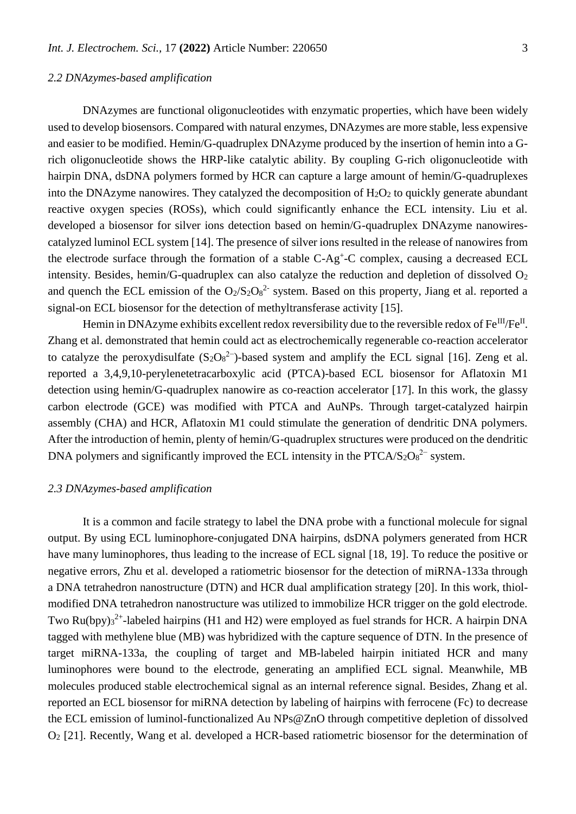#### *2.2 DNAzymes-based amplification*

DNAzymes are functional oligonucleotides with enzymatic properties, which have been widely used to develop biosensors. Compared with natural enzymes, DNAzymes are more stable, less expensive and easier to be modified. Hemin/G-quadruplex DNAzyme produced by the insertion of hemin into a Grich oligonucleotide shows the HRP-like catalytic ability. By coupling G-rich oligonucleotide with hairpin DNA, dsDNA polymers formed by HCR can capture a large amount of hemin/G-quadruplexes into the DNAzyme nanowires. They catalyzed the decomposition of  $H_2O_2$  to quickly generate abundant reactive oxygen species (ROSs), which could significantly enhance the ECL intensity. Liu et al. developed a biosensor for silver ions detection based on hemin/G-quadruplex DNAzyme nanowirescatalyzed luminol ECL system [14]. The presence of silver ions resulted in the release of nanowires from the electrode surface through the formation of a stable C-Ag<sup>+</sup>-C complex, causing a decreased ECL intensity. Besides, hemin/G-quadruplex can also catalyze the reduction and depletion of dissolved  $O<sub>2</sub>$ and quench the ECL emission of the  $O_2/S_2O_8^2$  system. Based on this property, Jiang et al. reported a signal-on ECL biosensor for the detection of methyltransferase activity [15].

Hemin in DNAzyme exhibits excellent redox reversibility due to the reversible redox of  $Fe^{III}/Fe^{II}$ . Zhang et al. demonstrated that hemin could act as electrochemically regenerable co-reaction accelerator to catalyze the peroxydisulfate  $(S_2O_8^2)$ -based system and amplify the ECL signal [16]. Zeng et al. reported a 3,4,9,10-perylenetetracarboxylic acid (PTCA)-based ECL biosensor for Aflatoxin M1 detection using hemin/G-quadruplex nanowire as co-reaction accelerator [17]. In this work, the glassy carbon electrode (GCE) was modified with PTCA and AuNPs. Through target-catalyzed hairpin assembly (CHA) and HCR, Aflatoxin M1 could stimulate the generation of dendritic DNA polymers. After the introduction of hemin, plenty of hemin/G-quadruplex structures were produced on the dendritic DNA polymers and significantly improved the ECL intensity in the PTCA/ $S_2O_8^{2-}$  system.

#### *2.3 DNAzymes-based amplification*

It is a common and facile strategy to label the DNA probe with a functional molecule for signal output. By using ECL luminophore-conjugated DNA hairpins, dsDNA polymers generated from HCR have many luminophores, thus leading to the increase of ECL signal [18, 19]. To reduce the positive or negative errors, Zhu et al. developed a ratiometric biosensor for the detection of miRNA-133a through a DNA tetrahedron nanostructure (DTN) and HCR dual amplification strategy [20]. In this work, thiolmodified DNA tetrahedron nanostructure was utilized to immobilize HCR trigger on the gold electrode. Two Ru(bpy) $3^{2+}$ -labeled hairpins (H1 and H2) were employed as fuel strands for HCR. A hairpin DNA tagged with methylene blue (MB) was hybridized with the capture sequence of DTN. In the presence of target miRNA-133a, the coupling of target and MB-labeled hairpin initiated HCR and many luminophores were bound to the electrode, generating an amplified ECL signal. Meanwhile, MB molecules produced stable electrochemical signal as an internal reference signal. Besides, Zhang et al. reported an ECL biosensor for miRNA detection by labeling of hairpins with ferrocene (Fc) to decrease the ECL emission of luminol-functionalized Au NPs@ZnO through competitive depletion of dissolved O<sup>2</sup> [21]. Recently, Wang et al. developed a HCR-based ratiometric biosensor for the determination of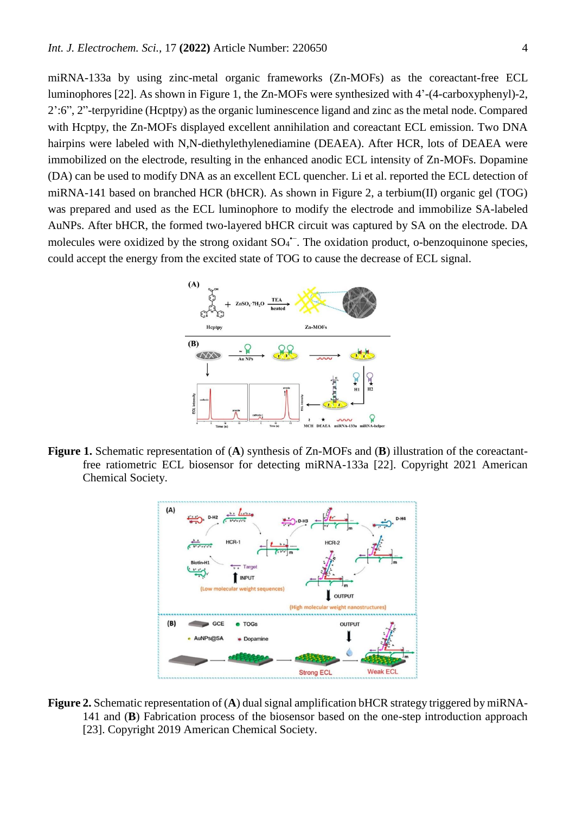miRNA-133a by using zinc-metal organic frameworks (Zn-MOFs) as the coreactant-free ECL luminophores [22]. As shown in Figure 1, the Zn-MOFs were synthesized with 4'-(4-carboxyphenyl)-2, 2':6", 2"-terpyridine (Hcptpy) as the organic luminescence ligand and zinc as the metal node. Compared with Hcptpy, the Zn-MOFs displayed excellent annihilation and coreactant ECL emission. Two DNA hairpins were labeled with N,N-diethylethylenediamine (DEAEA). After HCR, lots of DEAEA were immobilized on the electrode, resulting in the enhanced anodic ECL intensity of Zn-MOFs. Dopamine (DA) can be used to modify DNA as an excellent ECL quencher. Li et al. reported the ECL detection of miRNA-141 based on branched HCR (bHCR). As shown in Figure 2, a terbium(II) organic gel (TOG) was prepared and used as the ECL luminophore to modify the electrode and immobilize SA-labeled AuNPs. After bHCR, the formed two-layered bHCR circuit was captured by SA on the electrode. DA molecules were oxidized by the strong oxidant SO<sub>4</sub><sup>--</sup>. The oxidation product, o-benzoquinone species, could accept the energy from the excited state of TOG to cause the decrease of ECL signal.



**Figure 1.** Schematic representation of (**A**) synthesis of Zn-MOFs and (**B**) illustration of the coreactantfree ratiometric ECL biosensor for detecting miRNA-133a [22]. Copyright 2021 American Chemical Society.



**Figure 2.** Schematic representation of (**A**) dual signal amplification bHCR strategy triggered by miRNA-141 and (**B**) Fabrication process of the biosensor based on the one-step introduction approach [23]. Copyright 2019 American Chemical Society.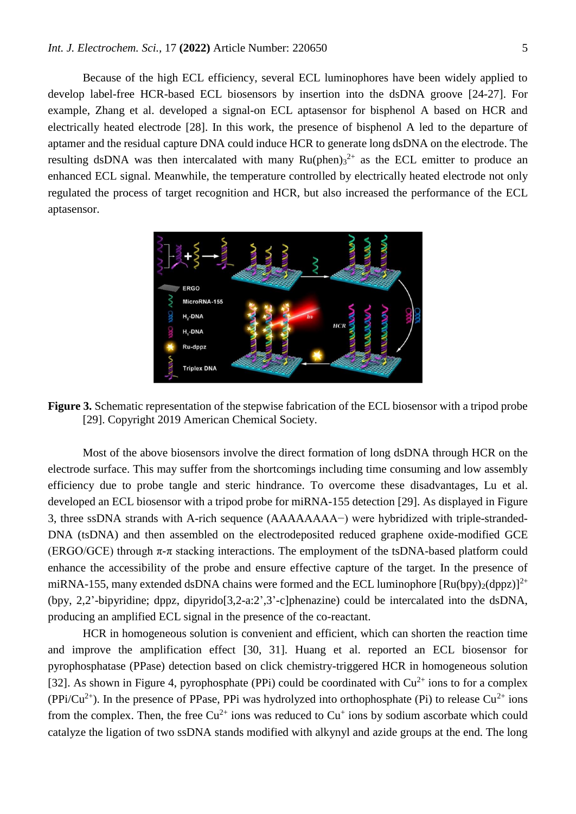Because of the high ECL efficiency, several ECL luminophores have been widely applied to develop label-free HCR-based ECL biosensors by insertion into the dsDNA groove [24-27]. For example, Zhang et al. developed a signal-on ECL aptasensor for bisphenol A based on HCR and electrically heated electrode [28]. In this work, the presence of bisphenol A led to the departure of aptamer and the residual capture DNA could induce HCR to generate long dsDNA on the electrode. The resulting dsDNA was then intercalated with many  $Ru(phen)_{3}^{2+}$  as the ECL emitter to produce an enhanced ECL signal. Meanwhile, the temperature controlled by electrically heated electrode not only regulated the process of target recognition and HCR, but also increased the performance of the ECL aptasensor.



**Figure 3.** Schematic representation of the stepwise fabrication of the ECL biosensor with a tripod probe [29]. Copyright 2019 American Chemical Society.

Most of the above biosensors involve the direct formation of long dsDNA through HCR on the electrode surface. This may suffer from the shortcomings including time consuming and low assembly efficiency due to probe tangle and steric hindrance. To overcome these disadvantages, Lu et al. developed an ECL biosensor with a tripod probe for miRNA-155 detection [29]. As displayed in Figure 3, three ssDNA strands with A-rich sequence (AAAAAAAA−) were hybridized with triple-stranded-DNA (tsDNA) and then assembled on the electrodeposited reduced graphene oxide-modified GCE (ERGO/GCE) through  $\pi$ - $\pi$  stacking interactions. The employment of the tsDNA-based platform could enhance the accessibility of the probe and ensure effective capture of the target. In the presence of miRNA-155, many extended dsDNA chains were formed and the ECL luminophore  $\left[Ru(bpy)_{2}\right]^{2+}$ (bpy, 2,2'-bipyridine; dppz, dipyrido[3,2-a:2',3'-c]phenazine) could be intercalated into the dsDNA, producing an amplified ECL signal in the presence of the co-reactant.

HCR in homogeneous solution is convenient and efficient, which can shorten the reaction time and improve the amplification effect [30, 31]. Huang et al. reported an ECL biosensor for pyrophosphatase (PPase) detection based on click chemistry-triggered HCR in homogeneous solution [32]. As shown in Figure 4, pyrophosphate (PPi) could be coordinated with  $Cu^{2+}$  ions to for a complex  $(PPi/Cu^{2+})$ . In the presence of PPase, PPi was hydrolyzed into orthophosphate (Pi) to release  $Cu^{2+}$  ions from the complex. Then, the free  $Cu^{2+}$  ions was reduced to  $Cu^{+}$  ions by sodium ascorbate which could catalyze the ligation of two ssDNA stands modified with alkynyl and azide groups at the end. The long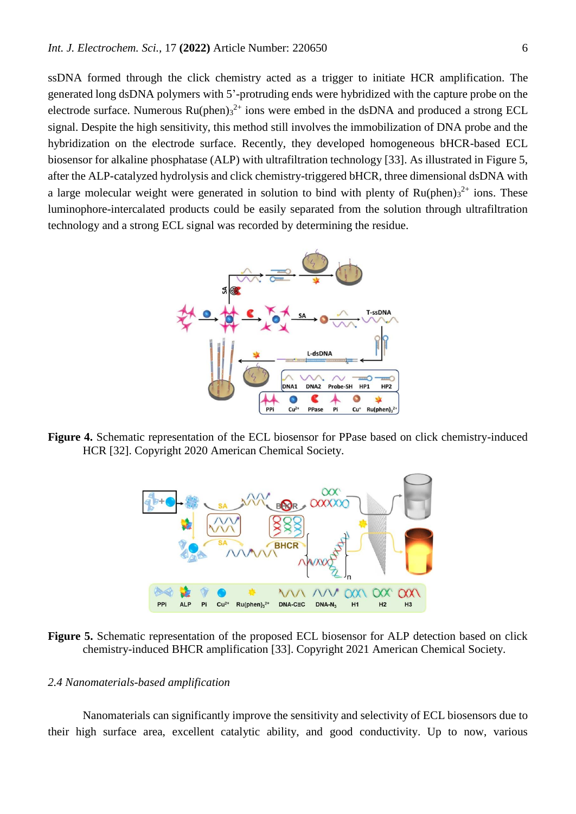ssDNA formed through the click chemistry acted as a trigger to initiate HCR amplification. The generated long dsDNA polymers with 5'-protruding ends were hybridized with the capture probe on the electrode surface. Numerous  $Ru(phen)_{3}^{2+}$  ions were embed in the dsDNA and produced a strong ECL signal. Despite the high sensitivity, this method still involves the immobilization of DNA probe and the hybridization on the electrode surface. Recently, they developed homogeneous bHCR-based ECL biosensor for alkaline phosphatase (ALP) with ultrafiltration technology [33]. As illustrated in Figure 5, after the ALP-catalyzed hydrolysis and click chemistry-triggered bHCR, three dimensional dsDNA with a large molecular weight were generated in solution to bind with plenty of  $Ru(phen)3^{2+}$  ions. These luminophore-intercalated products could be easily separated from the solution through ultrafiltration technology and a strong ECL signal was recorded by determining the residue.



**Figure 4.** Schematic representation of the ECL biosensor for PPase based on click chemistry-induced HCR [32]. Copyright 2020 American Chemical Society.



**Figure 5.** Schematic representation of the proposed ECL biosensor for ALP detection based on click chemistry-induced BHCR amplification [33]. Copyright 2021 American Chemical Society.

## *2.4 Nanomaterials-based amplification*

Nanomaterials can significantly improve the sensitivity and selectivity of ECL biosensors due to their high surface area, excellent catalytic ability, and good conductivity. Up to now, various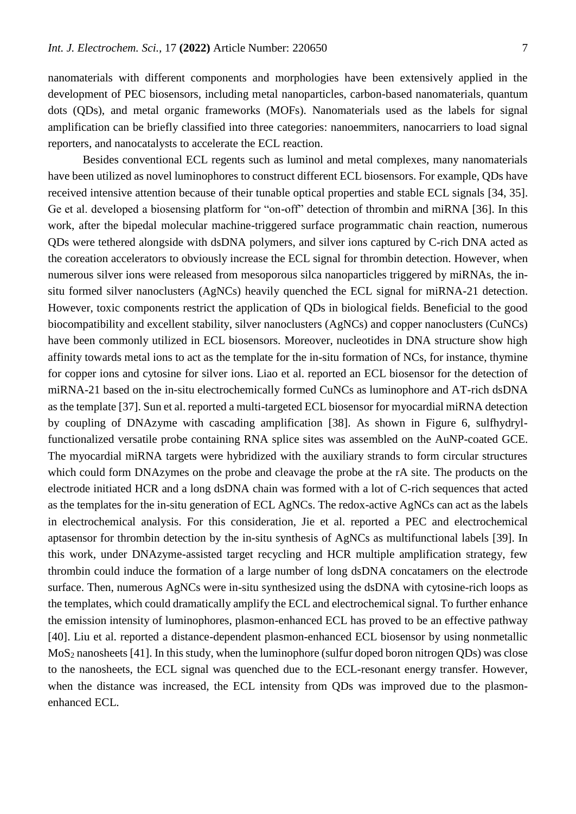nanomaterials with different components and morphologies have been extensively applied in the development of PEC biosensors, including metal nanoparticles, carbon-based nanomaterials, quantum dots (QDs), and metal organic frameworks (MOFs). Nanomaterials used as the labels for signal amplification can be briefly classified into three categories: nanoemmiters, nanocarriers to load signal reporters, and nanocatalysts to accelerate the ECL reaction.

Besides conventional ECL regents such as luminol and metal complexes, many nanomaterials have been utilized as novel luminophores to construct different ECL biosensors. For example, QDs have received intensive attention because of their tunable optical properties and stable ECL signals [34, 35]. Ge et al. developed a biosensing platform for "on-off" detection of thrombin and miRNA [36]. In this work, after the bipedal molecular machine-triggered surface programmatic chain reaction, numerous QDs were tethered alongside with dsDNA polymers, and silver ions captured by C-rich DNA acted as the coreation accelerators to obviously increase the ECL signal for thrombin detection. However, when numerous silver ions were released from mesoporous silca nanoparticles triggered by miRNAs, the insitu formed silver nanoclusters (AgNCs) heavily quenched the ECL signal for miRNA-21 detection. However, toxic components restrict the application of QDs in biological fields. Beneficial to the good biocompatibility and excellent stability, silver nanoclusters (AgNCs) and copper nanoclusters (CuNCs) have been commonly utilized in ECL biosensors. Moreover, nucleotides in DNA structure show high affinity towards metal ions to act as the template for the in-situ formation of NCs, for instance, thymine for copper ions and cytosine for silver ions. Liao et al. reported an ECL biosensor for the detection of miRNA-21 based on the in-situ electrochemically formed CuNCs as luminophore and AT-rich dsDNA as the template [37]. Sun et al. reported a multi-targeted ECL biosensor for myocardial miRNA detection by coupling of DNAzyme with cascading amplification [38]. As shown in Figure 6, sulfhydrylfunctionalized versatile probe containing RNA splice sites was assembled on the AuNP-coated GCE. The myocardial miRNA targets were hybridized with the auxiliary strands to form circular structures which could form DNAzymes on the probe and cleavage the probe at the rA site. The products on the electrode initiated HCR and a long dsDNA chain was formed with a lot of C-rich sequences that acted as the templates for the in-situ generation of ECL AgNCs. The redox-active AgNCs can act as the labels in electrochemical analysis. For this consideration, Jie et al. reported a PEC and electrochemical aptasensor for thrombin detection by the in-situ synthesis of AgNCs as multifunctional labels [39]. In this work, under DNAzyme-assisted target recycling and HCR multiple amplification strategy, few thrombin could induce the formation of a large number of long dsDNA concatamers on the electrode surface. Then, numerous AgNCs were in-situ synthesized using the dsDNA with cytosine-rich loops as the templates, which could dramatically amplify the ECL and electrochemical signal. To further enhance the emission intensity of luminophores, plasmon-enhanced ECL has proved to be an effective pathway [40]. Liu et al. reported a distance-dependent plasmon-enhanced ECL biosensor by using nonmetallic MoS<sup>2</sup> nanosheets [41]. In this study, when the luminophore (sulfur doped boron nitrogen QDs) was close to the nanosheets, the ECL signal was quenched due to the ECL-resonant energy transfer. However, when the distance was increased, the ECL intensity from QDs was improved due to the plasmonenhanced ECL.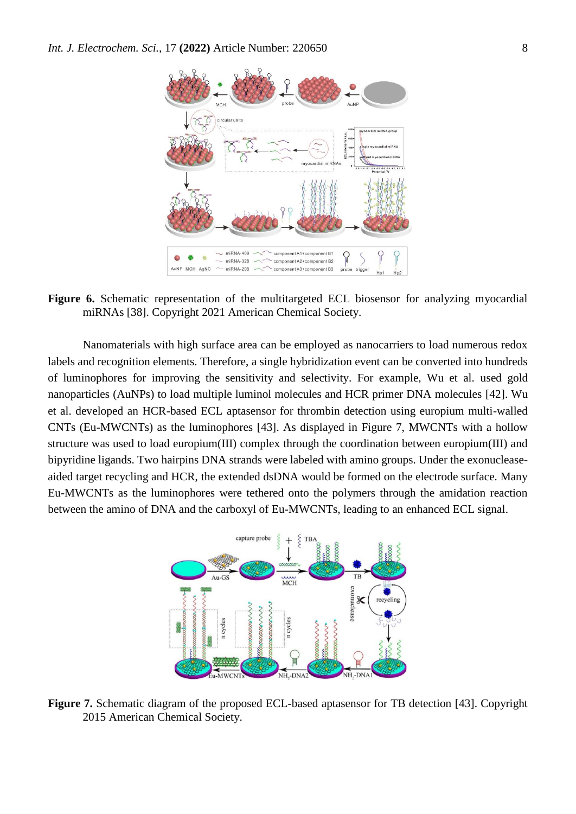

Figure 6. Schematic representation of the multitargeted ECL biosensor for analyzing myocardial miRNAs [38]. Copyright 2021 American Chemical Society.

Nanomaterials with high surface area can be employed as nanocarriers to load numerous redox labels and recognition elements. Therefore, a single hybridization event can be converted into hundreds of luminophores for improving the sensitivity and selectivity. For example, Wu et al. used gold nanoparticles (AuNPs) to load multiple luminol molecules and HCR primer DNA molecules [42]. Wu et al. developed an HCR-based ECL aptasensor for thrombin detection using europium multi-walled CNTs (Eu-MWCNTs) as the luminophores [43]. As displayed in Figure 7, MWCNTs with a hollow structure was used to load europium(III) complex through the coordination between europium(III) and bipyridine ligands. Two hairpins DNA strands were labeled with amino groups. Under the exonucleaseaided target recycling and HCR, the extended dsDNA would be formed on the electrode surface. Many Eu-MWCNTs as the luminophores were tethered onto the polymers through the amidation reaction between the amino of DNA and the carboxyl of Eu-MWCNTs, leading to an enhanced ECL signal.



**Figure 7.** Schematic diagram of the proposed ECL-based aptasensor for TB detection [43]. Copyright 2015 American Chemical Society.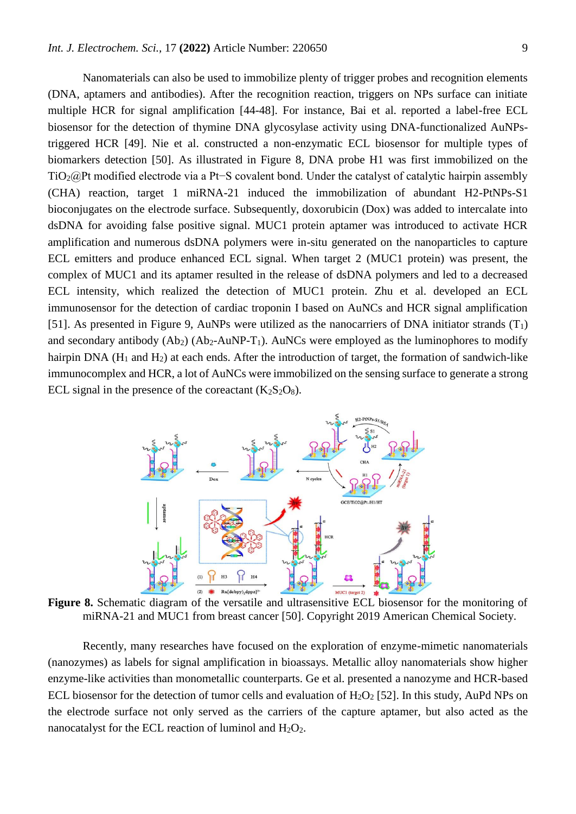Nanomaterials can also be used to immobilize plenty of trigger probes and recognition elements (DNA, aptamers and antibodies). After the recognition reaction, triggers on NPs surface can initiate multiple HCR for signal amplification [44-48]. For instance, Bai et al. reported a label-free ECL biosensor for the detection of thymine DNA glycosylase activity using DNA-functionalized AuNPstriggered HCR [49]. Nie et al. constructed a non-enzymatic ECL biosensor for multiple types of biomarkers detection [50]. As illustrated in Figure 8, DNA probe H1 was first immobilized on the TiO2@Pt modified electrode via a Pt−S covalent bond. Under the catalyst of catalytic hairpin assembly (CHA) reaction, target 1 miRNA-21 induced the immobilization of abundant H2-PtNPs-S1 bioconjugates on the electrode surface. Subsequently, doxorubicin (Dox) was added to intercalate into dsDNA for avoiding false positive signal. MUC1 protein aptamer was introduced to activate HCR amplification and numerous dsDNA polymers were in-situ generated on the nanoparticles to capture ECL emitters and produce enhanced ECL signal. When target 2 (MUC1 protein) was present, the complex of MUC1 and its aptamer resulted in the release of dsDNA polymers and led to a decreased ECL intensity, which realized the detection of MUC1 protein. Zhu et al. developed an ECL immunosensor for the detection of cardiac troponin I based on AuNCs and HCR signal amplification [51]. As presented in Figure 9, AuNPs were utilized as the nanocarriers of DNA initiator strands  $(T_1)$ and secondary antibody  $(Ab<sub>2</sub>) (Ab<sub>2</sub>-AuNP-T<sub>1</sub>)$ . AuNCs were employed as the luminophores to modify hairpin DNA (H<sub>1</sub> and H<sub>2</sub>) at each ends. After the introduction of target, the formation of sandwich-like immunocomplex and HCR, a lot of AuNCs were immobilized on the sensing surface to generate a strong ECL signal in the presence of the coreactant  $(K_2S_2O_8)$ .



**Figure 8.** Schematic diagram of the versatile and ultrasensitive ECL biosensor for the monitoring of miRNA-21 and MUC1 from breast cancer [50]. Copyright 2019 American Chemical Society.

Recently, many researches have focused on the exploration of enzyme-mimetic nanomaterials (nanozymes) as labels for signal amplification in bioassays. Metallic alloy nanomaterials show higher enzyme-like activities than monometallic counterparts. Ge et al. presented a nanozyme and HCR-based ECL biosensor for the detection of tumor cells and evaluation of  $H_2O_2$  [52]. In this study, AuPd NPs on the electrode surface not only served as the carriers of the capture aptamer, but also acted as the nanocatalyst for the ECL reaction of luminol and  $H_2O_2$ .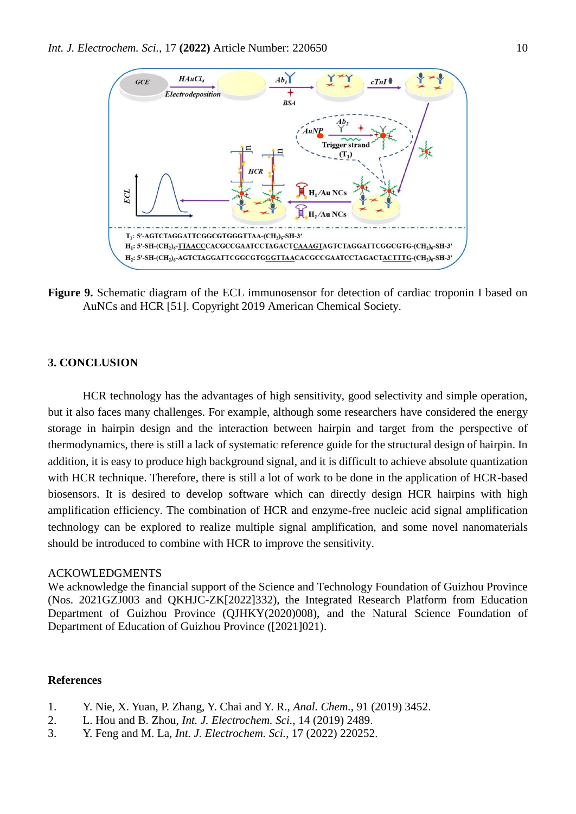

**Figure 9.** Schematic diagram of the ECL immunosensor for detection of cardiac troponin I based on AuNCs and HCR [51]. Copyright 2019 American Chemical Society.

#### **3. CONCLUSION**

HCR technology has the advantages of high sensitivity, good selectivity and simple operation, but it also faces many challenges. For example, although some researchers have considered the energy storage in hairpin design and the interaction between hairpin and target from the perspective of thermodynamics, there is still a lack of systematic reference guide for the structural design of hairpin. In addition, it is easy to produce high background signal, and it is difficult to achieve absolute quantization with HCR technique. Therefore, there is still a lot of work to be done in the application of HCR-based biosensors. It is desired to develop software which can directly design HCR hairpins with high amplification efficiency. The combination of HCR and enzyme-free nucleic acid signal amplification technology can be explored to realize multiple signal amplification, and some novel nanomaterials should be introduced to combine with HCR to improve the sensitivity.

#### ACKOWLEDGMENTS

We acknowledge the financial support of the Science and Technology Foundation of Guizhou Province (Nos. 2021GZJ003 and QKHJC-ZK[2022]332), the Integrated Research Platform from Education Department of Guizhou Province (QJHKY(2020)008), and the Natural Science Foundation of Department of Education of Guizhou Province ([2021]021).

# **References**

- 1. Y. Nie, X. Yuan, P. Zhang, Y. Chai and Y. R., *Anal. Chem.*, 91 (2019) 3452.
- 2. L. Hou and B. Zhou, *Int. J. Electrochem. Sci.*, 14 (2019) 2489.
- 3. Y. Feng and M. La, *Int. J. Electrochem. Sci.*, 17 (2022) 220252.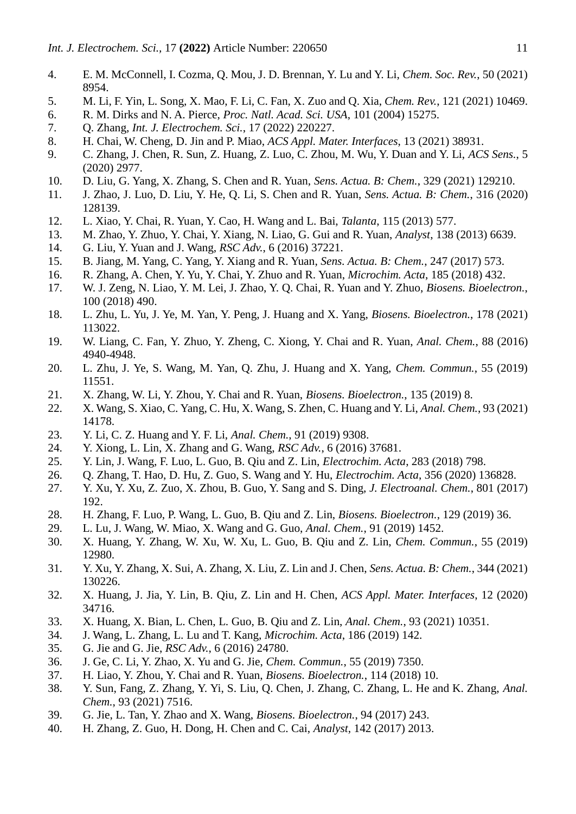- 4. E. M. McConnell, I. Cozma, Q. Mou, J. D. Brennan, Y. Lu and Y. Li, *Chem. Soc. Rev.*, 50 (2021) 8954.
- 5. M. Li, F. Yin, L. Song, X. Mao, F. Li, C. Fan, X. Zuo and Q. Xia, *Chem. Rev.*, 121 (2021) 10469.
- 6. R. M. Dirks and N. A. Pierce, *Proc. Natl. Acad. Sci. USA*, 101 (2004) 15275.
- 7. Q. Zhang, *Int. J. Electrochem. Sci.*, 17 (2022) 220227.
- 8. H. Chai, W. Cheng, D. Jin and P. Miao, *ACS Appl. Mater. Interfaces*, 13 (2021) 38931.
- 9. C. Zhang, J. Chen, R. Sun, Z. Huang, Z. Luo, C. Zhou, M. Wu, Y. Duan and Y. Li, *ACS Sens.*, 5 (2020) 2977.
- 10. D. Liu, G. Yang, X. Zhang, S. Chen and R. Yuan, *Sens. Actua. B: Chem.*, 329 (2021) 129210.
- 11. J. Zhao, J. Luo, D. Liu, Y. He, Q. Li, S. Chen and R. Yuan, *Sens. Actua. B: Chem.*, 316 (2020) 128139.
- 12. L. Xiao, Y. Chai, R. Yuan, Y. Cao, H. Wang and L. Bai, *Talanta*, 115 (2013) 577.
- 13. M. Zhao, Y. Zhuo, Y. Chai, Y. Xiang, N. Liao, G. Gui and R. Yuan, *Analyst*, 138 (2013) 6639.
- 14. G. Liu, Y. Yuan and J. Wang, *RSC Adv.*, 6 (2016) 37221.
- 15. B. Jiang, M. Yang, C. Yang, Y. Xiang and R. Yuan, *Sens. Actua. B: Chem.*, 247 (2017) 573.
- 16. R. Zhang, A. Chen, Y. Yu, Y. Chai, Y. Zhuo and R. Yuan, *Microchim. Acta*, 185 (2018) 432.
- 17. W. J. Zeng, N. Liao, Y. M. Lei, J. Zhao, Y. Q. Chai, R. Yuan and Y. Zhuo, *Biosens. Bioelectron.*, 100 (2018) 490.
- 18. L. Zhu, L. Yu, J. Ye, M. Yan, Y. Peng, J. Huang and X. Yang, *Biosens. Bioelectron.*, 178 (2021) 113022.
- 19. W. Liang, C. Fan, Y. Zhuo, Y. Zheng, C. Xiong, Y. Chai and R. Yuan, *Anal. Chem.*, 88 (2016) 4940-4948.
- 20. L. Zhu, J. Ye, S. Wang, M. Yan, Q. Zhu, J. Huang and X. Yang, *Chem. Commun.*, 55 (2019) 11551.
- 21. X. Zhang, W. Li, Y. Zhou, Y. Chai and R. Yuan, *Biosens. Bioelectron.*, 135 (2019) 8.
- 22. X. Wang, S. Xiao, C. Yang, C. Hu, X. Wang, S. Zhen, C. Huang and Y. Li, *Anal. Chem.*, 93 (2021) 14178.
- 23. Y. Li, C. Z. Huang and Y. F. Li, *Anal. Chem.*, 91 (2019) 9308.
- 24. Y. Xiong, L. Lin, X. Zhang and G. Wang, *RSC Adv.*, 6 (2016) 37681.
- 25. Y. Lin, J. Wang, F. Luo, L. Guo, B. Qiu and Z. Lin, *Electrochim. Acta*, 283 (2018) 798.
- 26. Q. Zhang, T. Hao, D. Hu, Z. Guo, S. Wang and Y. Hu, *Electrochim. Acta*, 356 (2020) 136828.
- 27. Y. Xu, Y. Xu, Z. Zuo, X. Zhou, B. Guo, Y. Sang and S. Ding, *J. Electroanal. Chem.*, 801 (2017) 192.
- 28. H. Zhang, F. Luo, P. Wang, L. Guo, B. Qiu and Z. Lin, *Biosens. Bioelectron.*, 129 (2019) 36.
- 29. L. Lu, J. Wang, W. Miao, X. Wang and G. Guo, *Anal. Chem.*, 91 (2019) 1452.
- 30. X. Huang, Y. Zhang, W. Xu, W. Xu, L. Guo, B. Qiu and Z. Lin, *Chem. Commun.*, 55 (2019) 12980.
- 31. Y. Xu, Y. Zhang, X. Sui, A. Zhang, X. Liu, Z. Lin and J. Chen, *Sens. Actua. B: Chem.*, 344 (2021) 130226.
- 32. X. Huang, J. Jia, Y. Lin, B. Qiu, Z. Lin and H. Chen, *ACS Appl. Mater. Interfaces*, 12 (2020) 34716.
- 33. X. Huang, X. Bian, L. Chen, L. Guo, B. Qiu and Z. Lin, *Anal. Chem.*, 93 (2021) 10351.
- 34. J. Wang, L. Zhang, L. Lu and T. Kang, *Microchim. Acta*, 186 (2019) 142.
- 35. G. Jie and G. Jie, *RSC Adv.*, 6 (2016) 24780.
- 36. J. Ge, C. Li, Y. Zhao, X. Yu and G. Jie, *Chem. Commun.*, 55 (2019) 7350.
- 37. H. Liao, Y. Zhou, Y. Chai and R. Yuan, *Biosens. Bioelectron.*, 114 (2018) 10.
- 38. Y. Sun, Fang, Z. Zhang, Y. Yi, S. Liu, Q. Chen, J. Zhang, C. Zhang, L. He and K. Zhang, *Anal. Chem.*, 93 (2021) 7516.
- 39. G. Jie, L. Tan, Y. Zhao and X. Wang, *Biosens. Bioelectron.*, 94 (2017) 243.
- 40. H. Zhang, Z. Guo, H. Dong, H. Chen and C. Cai, *Analyst*, 142 (2017) 2013.